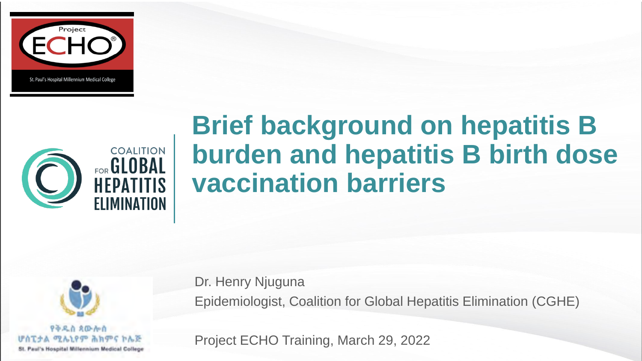



# **Brief background on hepatitis B burden and hepatitis B birth dose vaccination barriers**



Dr. Henry Njuguna Epidemiologist, Coalition for Global Hepatitis Elimination (CGHE)

Project ECHO Training, March 29, 2022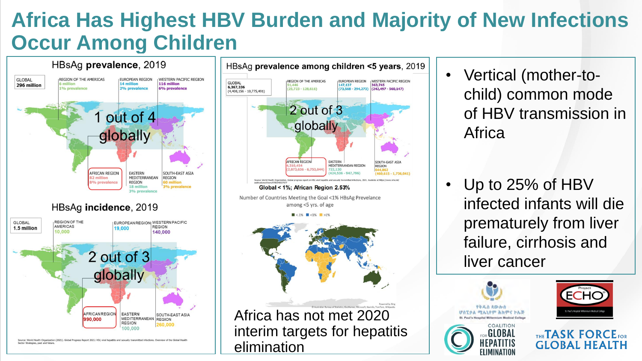### **Africa Has Highest HBV Burden and Majority of New Infections Occur Among Children**



Source: World Health Organization (2021). Global Progress Report 2021: HIV, viral hepatitis and sexually transmitted infectio Sector Strategies, past and futur



- Vertical (mother-tochild) common mode of HBV transmission in Africa
- Up to 25% of HBV infected infants will die prematurely from liver failure, cirrhosis and liver cancer



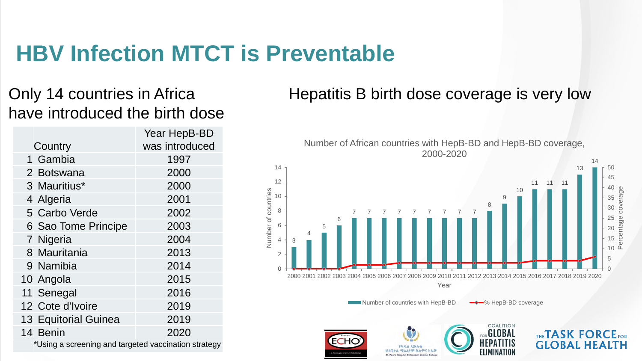### **HBV Infection MTCT is Preventable**

#### Only 14 countries in Africa have introduced the birth dose

|                                                      | Year HepB-BD   |
|------------------------------------------------------|----------------|
| Country                                              | was introduced |
| 1 Gambia                                             | 1997           |
| 2 Botswana                                           | 2000           |
| 3 Mauritius*                                         | 2000           |
| 4 Algeria                                            | 2001           |
| 5 Carbo Verde                                        | 2002           |
| 6 Sao Tome Principe                                  | 2003           |
| 7 Nigeria                                            | 2004           |
| 8 Mauritania                                         | 2013           |
| 9 Namibia                                            | 2014           |
| 10 Angola                                            | 2015           |
| 11 Senegal                                           | 2016           |
| 12 Cote d'Ivoire                                     | 2019           |
| <b>13 Equitorial Guinea</b>                          | 2019           |
| 14 Benin                                             | 2020           |
| *Using a screening and targeted vaccination strategy |                |

#### Hepatitis B birth dose coverage is very low



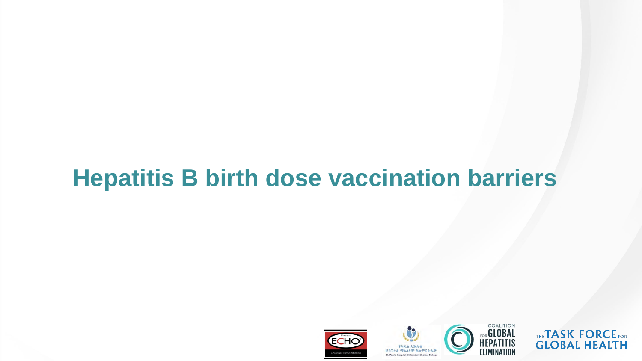## **Hepatitis B birth dose vaccination barriers**







THE**TASK FORCE**FOR **GLOBAL HEALTH**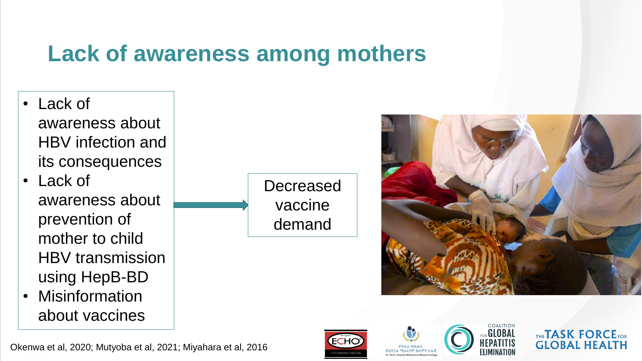### **Lack of awareness among mothers**

- Lack of awareness about HBV infection and its consequences
- Lack of awareness about prevention of mother to child HBV transmission using HepB-BD
- **Misinformation** about vaccines

**Decreased** vaccine demand









THE**TASK FORCE**FOR **GLOBAL HEALTH** 

Okenwa et al, 2020; Mutyoba et al, 2021; Miyahara et al, 2016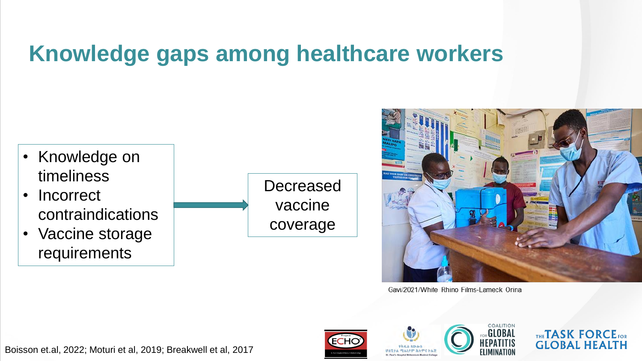### **Knowledge gaps among healthcare workers**

- Knowledge on timeliness
- Incorrect contraindications
- Vaccine storage requirements





Gavi/2021/White Rhino Films-Lameck Orina









Boisson et.al, 2022; Moturi et al, 2019; Breakwell et al, 2017